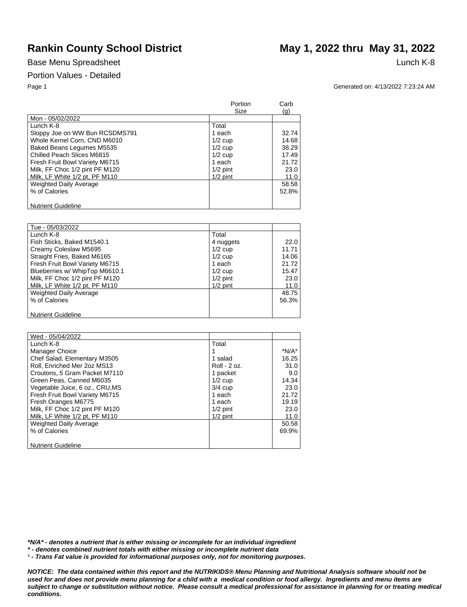## Portion Values - Detailed

# Rankin County School District May 1, 2022 thru May 31, 2022

Page 1 Generated on: 4/13/2022 7:23:24 AM

|                                | Portion<br>Size | Carb<br>(q) |
|--------------------------------|-----------------|-------------|
| Mon - 05/02/2022               |                 |             |
| Lunch K-8                      | Total           |             |
| Sloppy Joe on WW Bun RCSDMS791 | 1 each          | 32.74       |
| Whole Kernel Corn, CND M6010   | $1/2$ cup       | 14.68       |
| Baked Beans Legumes M5535      | $1/2$ cup       | 38.29       |
| Chilled Peach Slices M6815     | $1/2$ cup       | 17.49       |
| Fresh Fruit Bowl Variety M6715 | 1 each          | 21.72       |
| Milk, FF Choc 1/2 pint PF M120 | $1/2$ pint      | 23.0        |
| Milk, LF White 1/2 pt, PF M110 | $1/2$ pint      | 11.0        |
| <b>Weighted Daily Average</b>  |                 | 58.58       |
| % of Calories                  |                 | 52.8%       |
|                                |                 |             |
| <b>Nutrient Guideline</b>      |                 |             |

| Tue - 05/03/2022               |            |       |
|--------------------------------|------------|-------|
| Lunch K-8                      | Total      |       |
| Fish Sticks, Baked M1540.1     | 4 nuggets  | 22.0  |
| Creamy Coleslaw M5695          | $1/2$ cup  | 11.71 |
| Straight Fries, Baked M6165    | $1/2$ cup  | 14.06 |
| Fresh Fruit Bowl Variety M6715 | 1 each     | 21.72 |
| Blueberries w/ WhipTop M6610.1 | $1/2$ cup  | 15.47 |
| Milk, FF Choc 1/2 pint PF M120 | $1/2$ pint | 23.0  |
| Milk, LF White 1/2 pt, PF M110 | $1/2$ pint | 11.0  |
| <b>Weighted Daily Average</b>  |            | 48.75 |
| % of Calories                  |            | 56.3% |
|                                |            |       |
| <b>Nutrient Guideline</b>      |            |       |

| Wed - 05/04/2022                |              |         |
|---------------------------------|--------------|---------|
| Lunch K-8                       | Total        |         |
| Manager Choice                  |              | $*N/A*$ |
| Chef Salad, Elementary M3505    | 1 salad      | 16.25   |
| Roll, Enriched Mer 2oz MS13     | Roll - 2 oz. | 31.0    |
| Croutons, 5 Gram Packet M7110   | 1 packet     | 9.0     |
| Green Peas, Canned M6035        | $1/2$ cup    | 14.34   |
| Vegetable Juice, 6 oz., CRU, MS | $3/4$ cup    | 23.0    |
| Fresh Fruit Bowl Variety M6715  | 1 each       | 21.72   |
| Fresh Oranges M6775             | 1 each       | 19.19   |
| Milk, FF Choc 1/2 pint PF M120  | $1/2$ pint   | 23.0    |
| Milk, LF White 1/2 pt, PF M110  | $1/2$ pint   | 11.0    |
| <b>Weighted Daily Average</b>   |              | 50.58   |
| % of Calories                   |              | 69.9%   |
|                                 |              |         |
| <b>Nutrient Guideline</b>       |              |         |

*\*N/A\* - denotes a nutrient that is either missing or incomplete for an individual ingredient*

*\* - denotes combined nutrient totals with either missing or incomplete nutrient data*

*¹ - Trans Fat value is provided for informational purposes only, not for monitoring purposes.*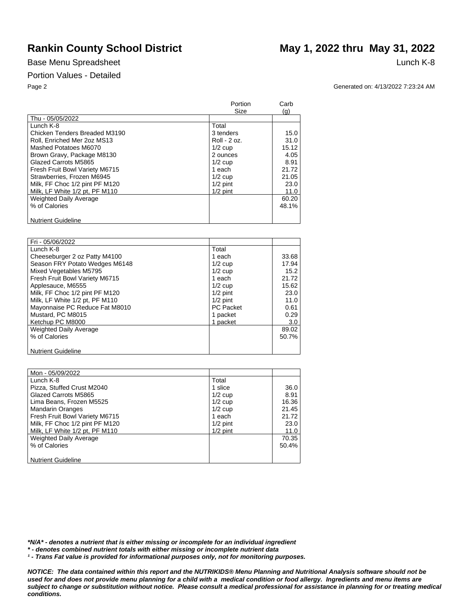### Portion Values - Detailed

# Rankin County School District May 1, 2022 thru May 31, 2022

Page 2 Generated on: 4/13/2022 7:23:24 AM

|                                | Portion<br>Size | Carb<br>(q) |
|--------------------------------|-----------------|-------------|
| Thu - 05/05/2022               |                 |             |
| Lunch K-8                      | Total           |             |
| Chicken Tenders Breaded M3190  | 3 tenders       | 15.0        |
| Roll, Enriched Mer 2oz MS13    | Roll - 2 oz.    | 31.0        |
| Mashed Potatoes M6070          | $1/2$ cup       | 15.12       |
| Brown Gravy, Package M8130     | 2 ounces        | 4.05        |
| Glazed Carrots M5865           | $1/2$ cup       | 8.91        |
| Fresh Fruit Bowl Variety M6715 | 1 each          | 21.72       |
| Strawberries, Frozen M6945     | $1/2$ cup       | 21.05       |
| Milk, FF Choc 1/2 pint PF M120 | $1/2$ pint      | 23.0        |
| Milk, LF White 1/2 pt, PF M110 | $1/2$ pint      | 11.0        |
| <b>Weighted Daily Average</b>  |                 | 60.20       |
| % of Calories                  |                 | 48.1%       |
| <b>Nutrient Guideline</b>      |                 |             |

| Fri - 05/06/2022               |                  |       |
|--------------------------------|------------------|-------|
| Lunch K-8                      | Total            |       |
| Cheeseburger 2 oz Patty M4100  | 1 each           | 33.68 |
| Season FRY Potato Wedges M6148 | $1/2$ cup        | 17.94 |
| Mixed Vegetables M5795         | $1/2$ cup        | 15.2  |
| Fresh Fruit Bowl Variety M6715 | 1 each           | 21.72 |
| Applesauce, M6555              | $1/2$ cup        | 15.62 |
| Milk, FF Choc 1/2 pint PF M120 | $1/2$ pint       | 23.0  |
| Milk, LF White 1/2 pt, PF M110 | $1/2$ pint       | 11.0  |
| Mayonnaise PC Reduce Fat M8010 | <b>PC Packet</b> | 0.61  |
| Mustard, PC M8015              | 1 packet         | 0.29  |
| Ketchup PC M8000               | 1 packet         | 3.0   |
| Weighted Daily Average         |                  | 89.02 |
| % of Calories                  |                  | 50.7% |
|                                |                  |       |
| <b>Nutrient Guideline</b>      |                  |       |

| Mon - 05/09/2022               |            |       |
|--------------------------------|------------|-------|
| Lunch K-8                      | Total      |       |
| Pizza, Stuffed Crust M2040     | 1 slice    | 36.0  |
| Glazed Carrots M5865           | $1/2$ cup  | 8.91  |
| Lima Beans, Frozen M5525       | $1/2$ cup  | 16.36 |
| <b>Mandarin Oranges</b>        | $1/2$ cup  | 21.45 |
| Fresh Fruit Bowl Variety M6715 | 1 each     | 21.72 |
| Milk, FF Choc 1/2 pint PF M120 | $1/2$ pint | 23.0  |
| Milk, LF White 1/2 pt, PF M110 | $1/2$ pint | 11.0  |
| <b>Weighted Daily Average</b>  |            | 70.35 |
| % of Calories                  |            | 50.4% |
|                                |            |       |
| <b>Nutrient Guideline</b>      |            |       |

*\*N/A\* - denotes a nutrient that is either missing or incomplete for an individual ingredient*

*\* - denotes combined nutrient totals with either missing or incomplete nutrient data*

*¹ - Trans Fat value is provided for informational purposes only, not for monitoring purposes.*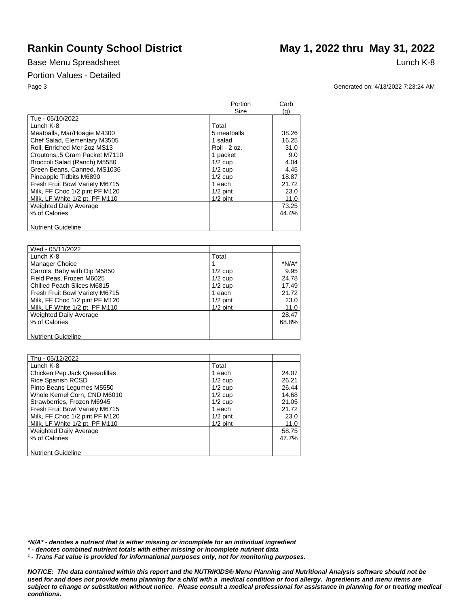### Portion Values - Detailed

# Rankin County School District May 1, 2022 thru May 31, 2022

Page 3 Generated on: 4/13/2022 7:23:24 AM

|                                | Portion<br>Size | Carb<br>(g) |
|--------------------------------|-----------------|-------------|
| Tue - 05/10/2022               |                 |             |
| Lunch K-8                      | Total           |             |
| Meatballs, Mar/Hoagie M4300    | 5 meatballs     | 38.26       |
| Chef Salad, Elementary M3505   | 1 salad         | 16.25       |
| Roll, Enriched Mer 2oz MS13    | Roll - 2 oz.    | 31.0        |
| Croutons5 Gram Packet M7110    | 1 packet        | 9.0         |
| Broccoli Salad (Ranch) M5580   | $1/2$ cup       | 4.04        |
| Green Beans, Canned, MS1036    | $1/2$ cup       | 4.45        |
| Pineapple Tidbits M6890        | $1/2$ cup       | 18.87       |
| Fresh Fruit Bowl Variety M6715 | 1 each          | 21.72       |
| Milk, FF Choc 1/2 pint PF M120 | $1/2$ pint      | 23.0        |
| Milk, LF White 1/2 pt, PF M110 | $1/2$ pint      | 11.0        |
| <b>Weighted Daily Average</b>  |                 | 73.25       |
| % of Calories                  |                 | 44.4%       |
|                                |                 |             |
| <b>Nutrient Guideline</b>      |                 |             |

| Wed - 05/11/2022               |            |         |
|--------------------------------|------------|---------|
| Lunch K-8                      | Total      |         |
| Manager Choice                 |            | $*N/A*$ |
| Carrots, Baby with Dip M5850   | $1/2$ cup  | 9.95    |
| Field Peas, Frozen M6025       | $1/2$ cup  | 24.78   |
| Chilled Peach Slices M6815     | $1/2$ cup  | 17.49   |
| Fresh Fruit Bowl Variety M6715 | 1 each     | 21.72   |
| Milk, FF Choc 1/2 pint PF M120 | $1/2$ pint | 23.0    |
| Milk, LF White 1/2 pt, PF M110 | $1/2$ pint | 11.0    |
| <b>Weighted Daily Average</b>  |            | 28.47   |
| % of Calories                  |            | 68.8%   |
|                                |            |         |
| <b>Nutrient Guideline</b>      |            |         |

| Thu - 05/12/2022               |            |       |
|--------------------------------|------------|-------|
| Lunch K-8                      | Total      |       |
| Chicken Pep Jack Quesadillas   | 1 each     | 24.07 |
| Rice Spanish RCSD              | $1/2$ cup  | 26.21 |
| Pinto Beans Legumes M5550      | $1/2$ cup  | 26.44 |
| Whole Kernel Corn, CND M6010   | $1/2$ cup  | 14.68 |
| Strawberries, Frozen M6945     | $1/2$ cup  | 21.05 |
| Fresh Fruit Bowl Variety M6715 | 1 each     | 21.72 |
| Milk, FF Choc 1/2 pint PF M120 | $1/2$ pint | 23.0  |
| Milk, LF White 1/2 pt, PF M110 | $1/2$ pint | 11.0  |
| <b>Weighted Daily Average</b>  |            | 58.75 |
| % of Calories                  |            | 47.7% |
|                                |            |       |
| <b>Nutrient Guideline</b>      |            |       |

*\*N/A\* - denotes a nutrient that is either missing or incomplete for an individual ingredient*

*\* - denotes combined nutrient totals with either missing or incomplete nutrient data*

*¹ - Trans Fat value is provided for informational purposes only, not for monitoring purposes.*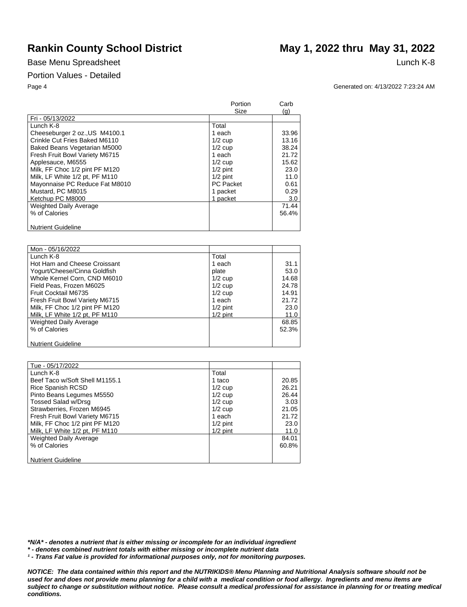### Portion Values - Detailed

# Rankin County School District May 1, 2022 thru May 31, 2022

Page 4 Generated on: 4/13/2022 7:23:24 AM

|                                | Portion<br>Size  | Carb<br>(g) |
|--------------------------------|------------------|-------------|
| Fri - 05/13/2022               |                  |             |
| Lunch K-8                      | Total            |             |
| Cheeseburger 2 oz., US M4100.1 | 1 each           | 33.96       |
| Crinkle Cut Fries Baked M6110  | $1/2$ cup        | 13.16       |
| Baked Beans Vegetarian M5000   | $1/2$ cup        | 38.24       |
| Fresh Fruit Bowl Variety M6715 | 1 each           | 21.72       |
| Applesauce, M6555              | $1/2$ cup        | 15.62       |
| Milk, FF Choc 1/2 pint PF M120 | $1/2$ pint       | 23.0        |
| Milk, LF White 1/2 pt, PF M110 | $1/2$ pint       | 11.0        |
| Mayonnaise PC Reduce Fat M8010 | <b>PC Packet</b> | 0.61        |
| Mustard, PC M8015              | 1 packet         | 0.29        |
| Ketchup PC M8000               | 1 packet         | 3.0         |
| <b>Weighted Daily Average</b>  |                  | 71.44       |
| % of Calories                  |                  | 56.4%       |
|                                |                  |             |
| <b>Nutrient Guideline</b>      |                  |             |

| Mon - 05/16/2022               |            |       |
|--------------------------------|------------|-------|
| Lunch K-8                      | Total      |       |
| Hot Ham and Cheese Croissant   | 1 each     | 31.1  |
| Yogurt/Cheese/Cinna Goldfish   | plate      | 53.0  |
| Whole Kernel Corn, CND M6010   | $1/2$ cup  | 14.68 |
| Field Peas, Frozen M6025       | $1/2$ cup  | 24.78 |
| Fruit Cocktail M6735           | $1/2$ cup  | 14.91 |
| Fresh Fruit Bowl Variety M6715 | 1 each     | 21.72 |
| Milk, FF Choc 1/2 pint PF M120 | $1/2$ pint | 23.0  |
| Milk, LF White 1/2 pt, PF M110 | $1/2$ pint | 11.0  |
| <b>Weighted Daily Average</b>  |            | 68.85 |
| % of Calories                  |            | 52.3% |
|                                |            |       |
| <b>Nutrient Guideline</b>      |            |       |

| Tue - 05/17/2022               |            |       |
|--------------------------------|------------|-------|
| Lunch K-8                      | Total      |       |
| Beef Taco w/Soft Shell M1155.1 | 1 taco     | 20.85 |
| <b>Rice Spanish RCSD</b>       | $1/2$ cup  | 26.21 |
| Pinto Beans Legumes M5550      | $1/2$ cup  | 26.44 |
| Tossed Salad w/Drsg            | $1/2$ cup  | 3.03  |
| Strawberries, Frozen M6945     | $1/2$ cup  | 21.05 |
| Fresh Fruit Bowl Variety M6715 | 1 each     | 21.72 |
| Milk, FF Choc 1/2 pint PF M120 | $1/2$ pint | 23.0  |
| Milk, LF White 1/2 pt, PF M110 | $1/2$ pint | 11.0  |
| <b>Weighted Daily Average</b>  |            | 84.01 |
| % of Calories                  |            | 60.8% |
|                                |            |       |
| <b>Nutrient Guideline</b>      |            |       |

*\*N/A\* - denotes a nutrient that is either missing or incomplete for an individual ingredient*

*\* - denotes combined nutrient totals with either missing or incomplete nutrient data*

*¹ - Trans Fat value is provided for informational purposes only, not for monitoring purposes.*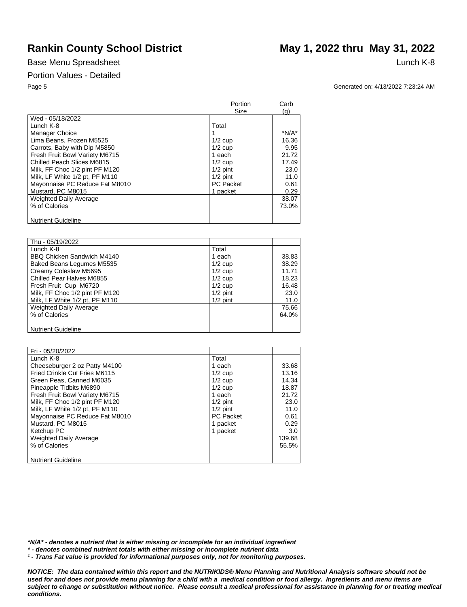### Portion Values - Detailed

# Rankin County School District May 1, 2022 thru May 31, 2022

Page 5 Generated on: 4/13/2022 7:23:24 AM

|                                | Portion<br>Size  | Carb<br>(q) |
|--------------------------------|------------------|-------------|
| Wed - 05/18/2022               |                  |             |
| Lunch K-8                      | Total            |             |
| Manager Choice                 |                  | *N/A*       |
| Lima Beans, Frozen M5525       | $1/2$ cup        | 16.36       |
| Carrots, Baby with Dip M5850   | $1/2$ cup        | 9.95        |
| Fresh Fruit Bowl Variety M6715 | 1 each           | 21.72       |
| Chilled Peach Slices M6815     | $1/2$ cup        | 17.49       |
| Milk, FF Choc 1/2 pint PF M120 | $1/2$ pint       | 23.0        |
| Milk, LF White 1/2 pt, PF M110 | $1/2$ pint       | 11.0        |
| Mayonnaise PC Reduce Fat M8010 | <b>PC Packet</b> | 0.61        |
| Mustard, PC M8015              | 1 packet         | 0.29        |
| <b>Weighted Daily Average</b>  |                  | 38.07       |
| % of Calories                  |                  | 73.0%       |
| <b>Nutrient Guideline</b>      |                  |             |

| Thu - 05/19/2022               |            |       |
|--------------------------------|------------|-------|
| Lunch K-8                      | Total      |       |
| BBQ Chicken Sandwich M4140     | 1 each     | 38.83 |
| Baked Beans Legumes M5535      | $1/2$ cup  | 38.29 |
| Creamy Coleslaw M5695          | $1/2$ cup  | 11.71 |
| Chilled Pear Halves M6855      | $1/2$ cup  | 18.23 |
| Fresh Fruit Cup M6720          | $1/2$ cup  | 16.48 |
| Milk, FF Choc 1/2 pint PF M120 | $1/2$ pint | 23.0  |
| Milk, LF White 1/2 pt, PF M110 | $1/2$ pint | 11.0  |
| <b>Weighted Daily Average</b>  |            | 75.66 |
| % of Calories                  |            | 64.0% |
|                                |            |       |
| <b>Nutrient Guideline</b>      |            |       |

| Fri - 05/20/2022               |                  |        |
|--------------------------------|------------------|--------|
| Lunch K-8                      | Total            |        |
| Cheeseburger 2 oz Patty M4100  | 1 each           | 33.68  |
| Fried Crinkle Cut Fries M6115  | $1/2$ cup        | 13.16  |
| Green Peas, Canned M6035       | $1/2$ cup        | 14.34  |
| Pineapple Tidbits M6890        | $1/2$ cup        | 18.87  |
| Fresh Fruit Bowl Variety M6715 | 1 each           | 21.72  |
| Milk, FF Choc 1/2 pint PF M120 | $1/2$ pint       | 23.0   |
| Milk, LF White 1/2 pt, PF M110 | $1/2$ pint       | 11.0   |
| Mayonnaise PC Reduce Fat M8010 | <b>PC Packet</b> | 0.61   |
| Mustard, PC M8015              | 1 packet         | 0.29   |
| Ketchup PC                     | 1 packet         | 3.0    |
| <b>Weighted Daily Average</b>  |                  | 139.68 |
| % of Calories                  |                  | 55.5%  |
|                                |                  |        |
| <b>Nutrient Guideline</b>      |                  |        |

*\*N/A\* - denotes a nutrient that is either missing or incomplete for an individual ingredient*

*\* - denotes combined nutrient totals with either missing or incomplete nutrient data*

*¹ - Trans Fat value is provided for informational purposes only, not for monitoring purposes.*